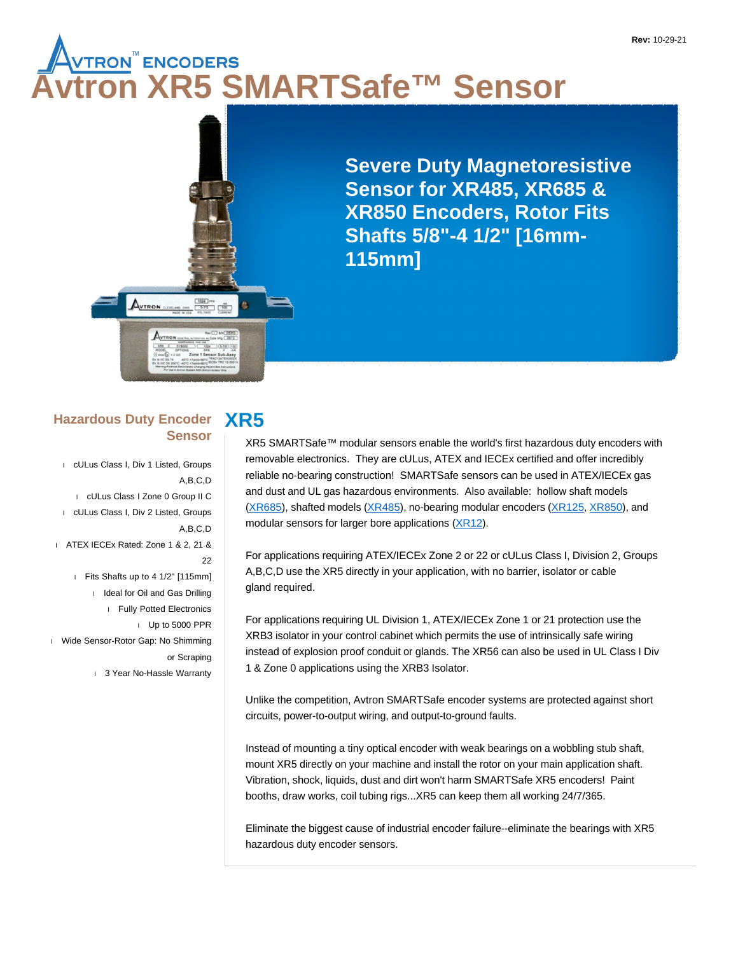# **AUTRON<sup>™</sup> ENCODERS<br>Vtron XR5 SMARTSafe™ Sensor**



**Severe Duty Magnetoresistive Sensor for XR485, XR685 & XR850 Encoders, Rotor Fits Shafts 5/8"-4 1/2" [16mm-115mm]**

#### **XR5 Hazardous Duty Encoder Sensor**

 cULus Class I, Div 1 Listed, Groups A,B,C,D cULus Class I Zone 0 Group II C cULus Class I, Div 2 Listed, Groups A,B,C,D ATEX IECEx Rated: Zone 1 & 2, 21 & 22 Fits Shafts up to 4 1/2" [115mm] I Ideal for Oil and Gas Drilling Fully Potted Electronics Up to 5000 PPR Wide Sensor-Rotor Gap: No Shimming or Scraping 1 3 Year No-Hassle Warranty

XR5 SMARTSafe™ modular sensors enable the world's first hazardous duty encoders with removable electronics. They are cULus, ATEX and IECEx certified and offer incredibly reliable no-bearing construction! SMARTSafe sensors can be used in ATEX/IECEx gas and dust and UL gas hazardous environments. Also available: hollow shaft models (XR685), shafted models (XR485), no-bearing modular encoders (XR125, XR850), and modular sensors for larger bore applications (XR12).

For applications requiring ATEX/IECEx Zone 2 or 22 or cULus Class I, Division 2, Groups A,B,C,D use the XR5 directly in your application, with no barrier, isolator or cable gland required.

For applications requiring UL Division 1, ATEX/IECEx Zone 1 or 21 protection use the XRB3 isolator in your control cabinet which permits the use of intrinsically safe wiring instead of explosion proof conduit or glands. The XR56 can also be used in UL Class I Div 1 & Zone 0 applications using the XRB3 Isolator.

Unlike the competition, Avtron SMARTSafe encoder systems are protected against short circuits, power-to-output wiring, and output-to-ground faults.

Instead of mounting a tiny optical encoder with weak bearings on a wobbling stub shaft, mount XR5 directly on your machine and install the rotor on your main application shaft. Vibration, shock, liquids, dust and dirt won't harm SMARTSafe XR5 encoders! Paint booths, draw works, coil tubing rigs...XR5 can keep them all working 24/7/365.

Eliminate the biggest cause of industrial encoder failure--eliminate the bearings with XR5 hazardous duty encoder sensors.